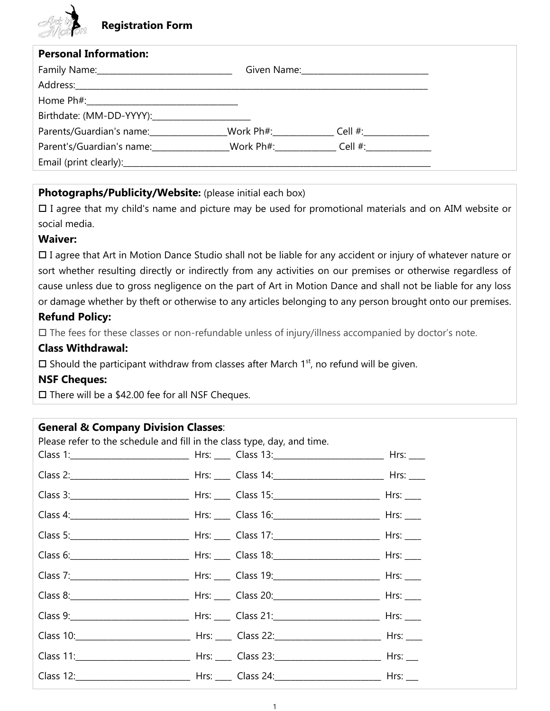# **Registration Form**

| <b>Personal Information:</b>                                                      |  |  |  |
|-----------------------------------------------------------------------------------|--|--|--|
|                                                                                   |  |  |  |
|                                                                                   |  |  |  |
|                                                                                   |  |  |  |
| Birthdate: (MM-DD-YYYY):                                                          |  |  |  |
| Parents/Guardian's name: ________________Work Ph#: _____________Cell #: _________ |  |  |  |
| Parent's/Guardian's name: Work Ph#: Cell #:                                       |  |  |  |
|                                                                                   |  |  |  |

## **Photographs/Publicity/Website:** (please initial each box)

 I agree that my child's name and picture may be used for promotional materials and on AIM website or social media.

#### **Waiver:**

 I agree that Art in Motion Dance Studio shall not be liable for any accident or injury of whatever nature or sort whether resulting directly or indirectly from any activities on our premises or otherwise regardless of cause unless due to gross negligence on the part of Art in Motion Dance and shall not be liable for any loss or damage whether by theft or otherwise to any articles belonging to any person brought onto our premises. **Refund Policy:**

#### The fees for these classes or non-refundable unless of injury/illness accompanied by doctor's note.

#### **Class Withdrawal:**

 $\square$  Should the participant withdraw from classes after March 1<sup>st</sup>, no refund will be given.

## **NSF Cheques:**

 $\square$  There will be a \$42.00 fee for all NSF Cheques.

# **General & Company Division Classes**:

| Please refer to the schedule and fill in the class type, day, and time. |  |  |
|-------------------------------------------------------------------------|--|--|
|                                                                         |  |  |
|                                                                         |  |  |
|                                                                         |  |  |
|                                                                         |  |  |
|                                                                         |  |  |
|                                                                         |  |  |
|                                                                         |  |  |
|                                                                         |  |  |
|                                                                         |  |  |
|                                                                         |  |  |
|                                                                         |  |  |
|                                                                         |  |  |